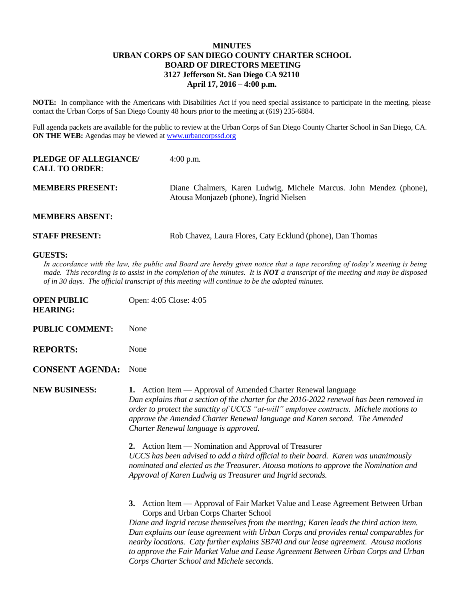## **MINUTES URBAN CORPS OF SAN DIEGO COUNTY CHARTER SCHOOL BOARD OF DIRECTORS MEETING 3127 Jefferson St. San Diego CA 92110 April 17, 2016 – 4:00 p.m.**

**NOTE:** In compliance with the Americans with Disabilities Act if you need special assistance to participate in the meeting, please contact the Urban Corps of San Diego County 48 hours prior to the meeting at (619) 235-6884.

Full agenda packets are available for the public to review at the Urban Corps of San Diego County Charter School in San Diego, CA. **ON THE WEB:** Agendas may be viewed at **www.urbancorpssd.org** 

| PLEDGE OF ALLEGIANCE/<br><b>CALL TO ORDER:</b> | $4:00$ p.m.                                                                                                   |  |
|------------------------------------------------|---------------------------------------------------------------------------------------------------------------|--|
| <b>MEMBERS PRESENT:</b>                        | Diane Chalmers, Karen Ludwig, Michele Marcus. John Mendez (phone),<br>Atousa Monjazeb (phone), Ingrid Nielsen |  |
| <b>MEMBERS ABSENT:</b>                         |                                                                                                               |  |
| <b>STAFF PRESENT:</b>                          | Rob Chavez, Laura Flores, Caty Ecklund (phone), Dan Thomas                                                    |  |

## **GUESTS:**

In accordance with the law, the public and Board are hereby given notice that a tape recording of today's meeting is being *made. This recording is to assist in the completion of the minutes. It is NOT a transcript of the meeting and may be disposed of in 30 days. The official transcript of this meeting will continue to be the adopted minutes.*

| <b>OPEN PUBLIC</b><br><b>HEARING:</b> | Open: 4:05 Close: 4:05                                                                                                                                                                                                                                                                                                                                                                                                                                                                                                                      |
|---------------------------------------|---------------------------------------------------------------------------------------------------------------------------------------------------------------------------------------------------------------------------------------------------------------------------------------------------------------------------------------------------------------------------------------------------------------------------------------------------------------------------------------------------------------------------------------------|
| <b>PUBLIC COMMENT:</b>                | None                                                                                                                                                                                                                                                                                                                                                                                                                                                                                                                                        |
| <b>REPORTS:</b>                       | None                                                                                                                                                                                                                                                                                                                                                                                                                                                                                                                                        |
| <b>CONSENT AGENDA:</b>                | None                                                                                                                                                                                                                                                                                                                                                                                                                                                                                                                                        |
| <b>NEW BUSINESS:</b>                  | Action Item — Approval of Amended Charter Renewal language<br>1.<br>Dan explains that a section of the charter for the 2016-2022 renewal has been removed in<br>order to protect the sanctity of UCCS "at-will" employee contracts. Michele motions to<br>approve the Amended Charter Renewal language and Karen second. The Amended<br>Charter Renewal language is approved.                                                                                                                                                               |
|                                       | 2. Action Item — Nomination and Approval of Treasurer<br>UCCS has been advised to add a third official to their board. Karen was unanimously<br>nominated and elected as the Treasurer. Atousa motions to approve the Nomination and<br>Approval of Karen Ludwig as Treasurer and Ingrid seconds.                                                                                                                                                                                                                                           |
|                                       | Action Item — Approval of Fair Market Value and Lease Agreement Between Urban<br>3.<br>Corps and Urban Corps Charter School<br>Diane and Ingrid recuse themselves from the meeting; Karen leads the third action item.<br>Dan explains our lease agreement with Urban Corps and provides rental comparables for<br>nearby locations. Caty further explains SB740 and our lease agreement. Atousa motions<br>to approve the Fair Market Value and Lease Agreement Between Urban Corps and Urban<br>Corps Charter School and Michele seconds. |